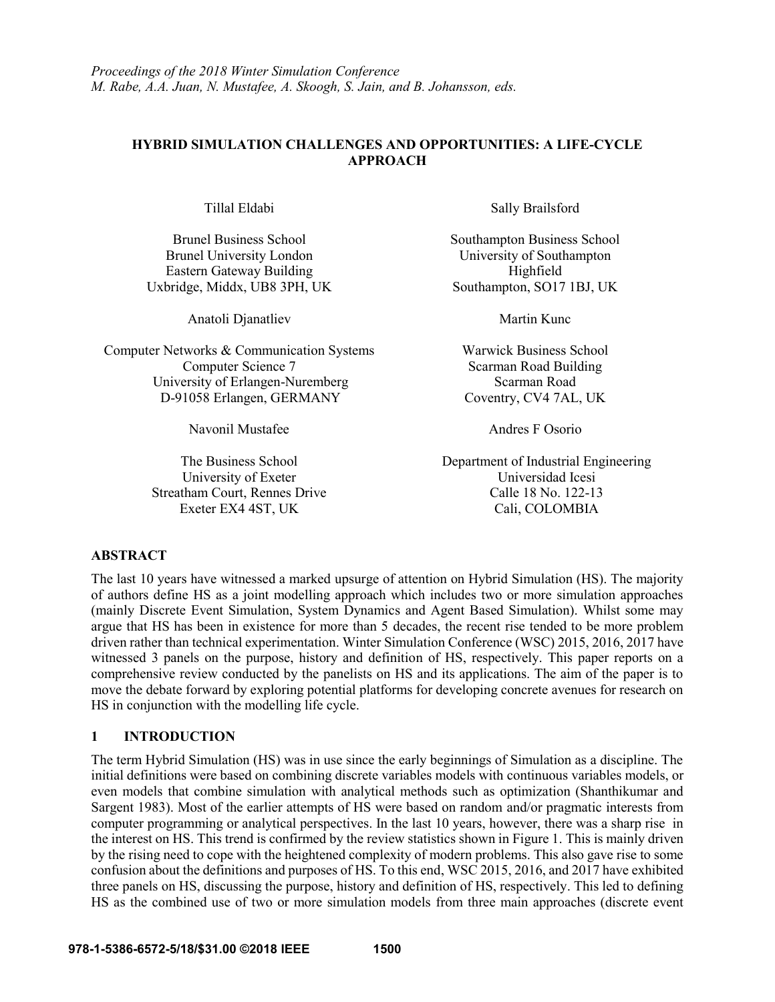## **HYBRID SIMULATION CHALLENGES AND OPPORTUNITIES: A LIFE-CYCLE APPROACH**

Brunel University London University of Southampton Eastern Gateway Building Highfield Uxbridge, Middx, UB8 3PH, UK Southampton, SO17 1BJ, UK

Anatoli Djanatliev Martin Kunc

Computer Networks & Communication Systems Warwick Business School Computer Science 7 Scarman Road Building University of Erlangen-Nuremberg Scarman Road D-91058 Erlangen, GERMANY Coventry, CV4 7AL, UK

Navonil Mustafee Andres F Osorio

Streatham Court, Rennes Drive Calle 18 No. 122-13

Tillal Eldabi Sally Brailsford

Brunel Business School Southampton Business School Southampton Business School

The Business School Department of Industrial Engineering University of Exeter Universidad Icesi Exeter EX4 4ST, UK Cali, COLOMBIA

## **ABSTRACT**

The last 10 years have witnessed a marked upsurge of attention on Hybrid Simulation (HS). The majority of authors define HS as a joint modelling approach which includes two or more simulation approaches (mainly Discrete Event Simulation, System Dynamics and Agent Based Simulation). Whilst some may argue that HS has been in existence for more than 5 decades, the recent rise tended to be more problem driven rather than technical experimentation. Winter Simulation Conference (WSC) 2015, 2016, 2017 have witnessed 3 panels on the purpose, history and definition of HS, respectively. This paper reports on a comprehensive review conducted by the panelists on HS and its applications. The aim of the paper is to move the debate forward by exploring potential platforms for developing concrete avenues for research on HS in conjunction with the modelling life cycle.

## **1 INTRODUCTION**

The term Hybrid Simulation (HS) was in use since the early beginnings of Simulation as a discipline. The initial definitions were based on combining discrete variables models with continuous variables models, or even models that combine simulation with analytical methods such as optimization (Shanthikumar and Sargent 1983). Most of the earlier attempts of HS were based on random and/or pragmatic interests from computer programming or analytical perspectives. In the last 10 years, however, there was a sharp rise in the interest on HS. This trend is confirmed by the review statistics shown in Figure 1. This is mainly driven by the rising need to cope with the heightened complexity of modern problems. This also gave rise to some confusion about the definitions and purposes of HS. To this end, WSC 2015, 2016, and 2017 have exhibited three panels on HS, discussing the purpose, history and definition of HS, respectively. This led to defining HS as the combined use of two or more simulation models from three main approaches (discrete event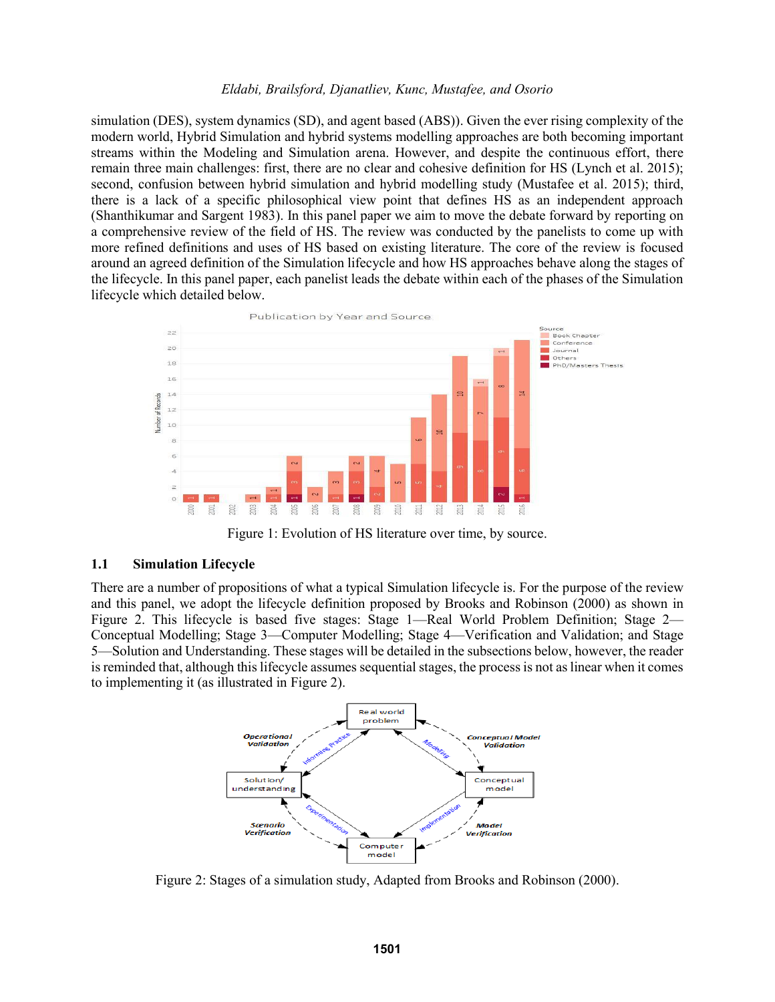simulation (DES), system dynamics (SD), and agent based (ABS)). Given the ever rising complexity of the modern world, Hybrid Simulation and hybrid systems modelling approaches are both becoming important streams within the Modeling and Simulation arena. However, and despite the continuous effort, there remain three main challenges: first, there are no clear and cohesive definition for HS (Lynch et al. 2015); second, confusion between hybrid simulation and hybrid modelling study (Mustafee et al. 2015); third, there is a lack of a specific philosophical view point that defines HS as an independent approach (Shanthikumar and Sargent 1983). In this panel paper we aim to move the debate forward by reporting on a comprehensive review of the field of HS. The review was conducted by the panelists to come up with more refined definitions and uses of HS based on existing literature. The core of the review is focused around an agreed definition of the Simulation lifecycle and how HS approaches behave along the stages of the lifecycle. In this panel paper, each panelist leads the debate within each of the phases of the Simulation lifecycle which detailed below.



Figure 1: Evolution of HS literature over time, by source.

#### **1.1 Simulation Lifecycle**

There are a number of propositions of what a typical Simulation lifecycle is. For the purpose of the review and this panel, we adopt the lifecycle definition proposed by Brooks and Robinson (2000) as shown in Figure 2. This lifecycle is based five stages: Stage 1—Real World Problem Definition; Stage 2— Conceptual Modelling; Stage 3—Computer Modelling; Stage 4—Verification and Validation; and Stage 5—Solution and Understanding. These stages will be detailed in the subsections below, however, the reader is reminded that, although this lifecycle assumes sequential stages, the process is not as linear when it comes to implementing it (as illustrated in Figure 2).



Figure 2: Stages of a simulation study, Adapted from Brooks and Robinson (2000).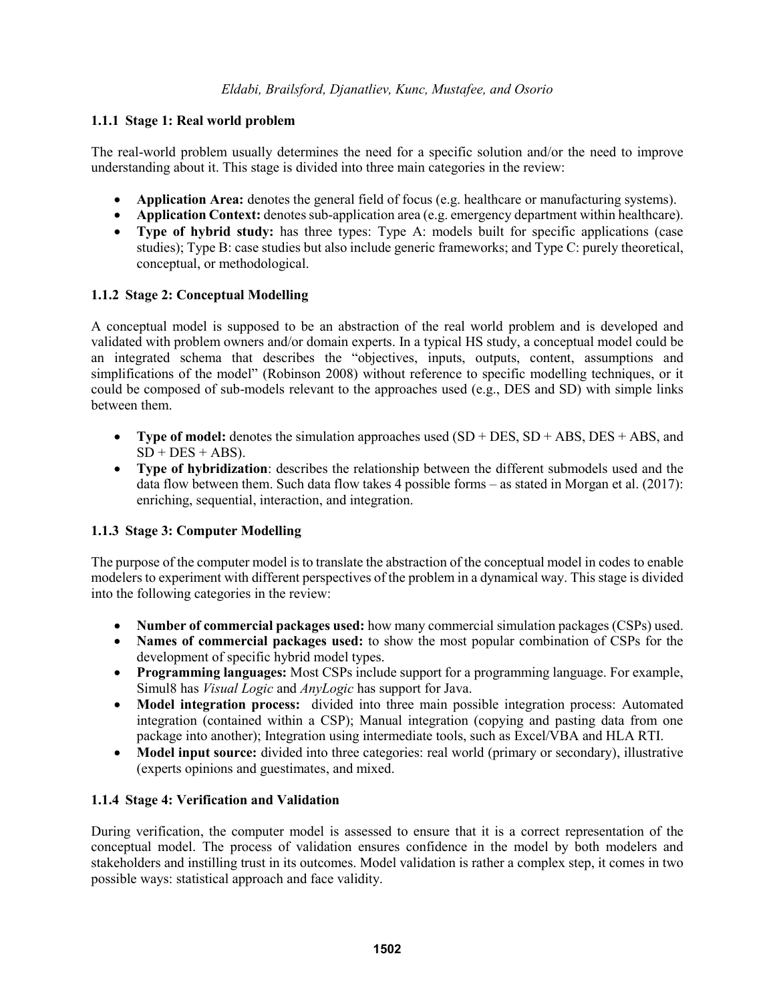## **1.1.1 Stage 1: Real world problem**

The real-world problem usually determines the need for a specific solution and/or the need to improve understanding about it. This stage is divided into three main categories in the review:

- **Application Area:** denotes the general field of focus (e.g. healthcare or manufacturing systems).
- **Application Context:** denotes sub-application area (e.g. emergency department within healthcare).
- **Type of hybrid study:** has three types: Type A: models built for specific applications (case studies); Type B: case studies but also include generic frameworks; and Type C: purely theoretical, conceptual, or methodological.

## **1.1.2 Stage 2: Conceptual Modelling**

A conceptual model is supposed to be an abstraction of the real world problem and is developed and validated with problem owners and/or domain experts. In a typical HS study, a conceptual model could be an integrated schema that describes the "objectives, inputs, outputs, content, assumptions and simplifications of the model" (Robinson 2008) without reference to specific modelling techniques, or it could be composed of sub-models relevant to the approaches used (e.g., DES and SD) with simple links between them.

- Type of model: denotes the simulation approaches used  $(SD + DES, SD + ABS, DES + ABS, and$  $SD + DES + ABS$ ).
- **Type of hybridization**: describes the relationship between the different submodels used and the data flow between them. Such data flow takes 4 possible forms – as stated in Morgan et al. (2017): enriching, sequential, interaction, and integration.

## **1.1.3 Stage 3: Computer Modelling**

The purpose of the computer model is to translate the abstraction of the conceptual model in codes to enable modelers to experiment with different perspectives of the problem in a dynamical way. This stage is divided into the following categories in the review:

- **Number of commercial packages used:** how many commercial simulation packages (CSPs) used.
- **Names of commercial packages used:** to show the most popular combination of CSPs for the development of specific hybrid model types.
- **Programming languages:** Most CSPs include support for a programming language. For example, Simul8 has *Visual Logic* and *AnyLogic* has support for Java.
- **Model integration process:** divided into three main possible integration process: Automated integration (contained within a CSP); Manual integration (copying and pasting data from one package into another); Integration using intermediate tools, such as Excel/VBA and HLA RTI.
- Model input source: divided into three categories: real world (primary or secondary), illustrative (experts opinions and guestimates, and mixed.

## **1.1.4 Stage 4: Verification and Validation**

During verification, the computer model is assessed to ensure that it is a correct representation of the conceptual model. The process of validation ensures confidence in the model by both modelers and stakeholders and instilling trust in its outcomes. Model validation is rather a complex step, it comes in two possible ways: statistical approach and face validity.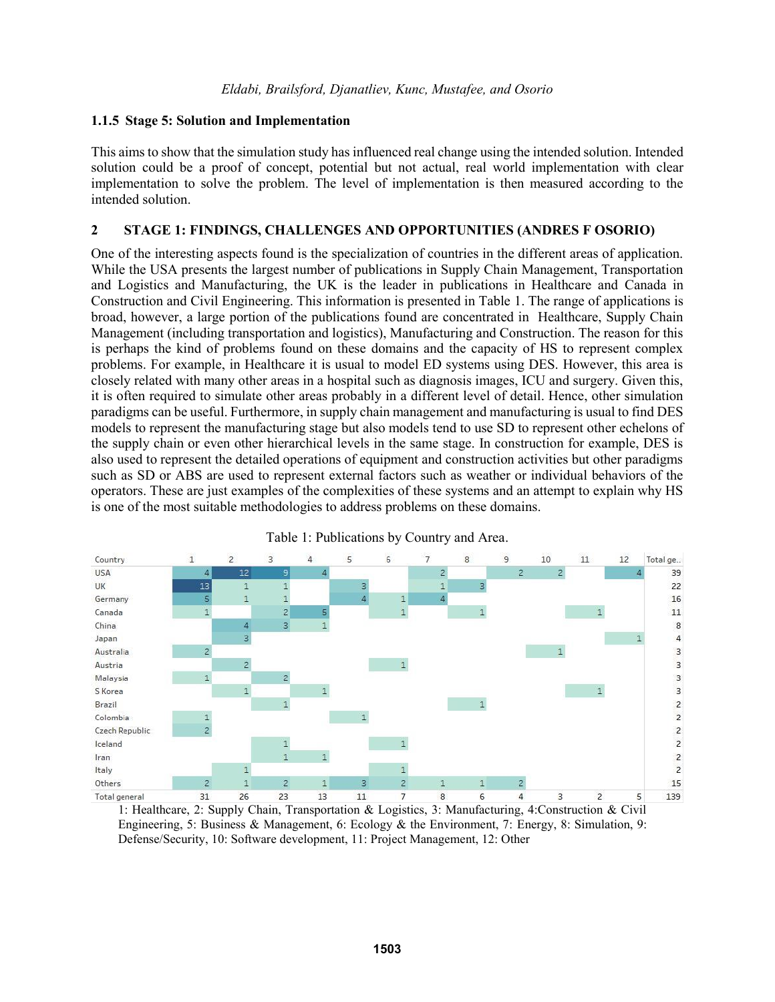#### **1.1.5 Stage 5: Solution and Implementation**

This aims to show that the simulation study has influenced real change using the intended solution. Intended solution could be a proof of concept, potential but not actual, real world implementation with clear implementation to solve the problem. The level of implementation is then measured according to the intended solution.

#### **2 STAGE 1: FINDINGS, CHALLENGES AND OPPORTUNITIES (ANDRES F OSORIO)**

One of the interesting aspects found is the specialization of countries in the different areas of application. While the USA presents the largest number of publications in Supply Chain Management, Transportation and Logistics and Manufacturing, the UK is the leader in publications in Healthcare and Canada in Construction and Civil Engineering. This information is presented in Table 1. The range of applications is broad, however, a large portion of the publications found are concentrated in Healthcare, Supply Chain Management (including transportation and logistics), Manufacturing and Construction. The reason for this is perhaps the kind of problems found on these domains and the capacity of HS to represent complex problems. For example, in Healthcare it is usual to model ED systems using DES. However, this area is closely related with many other areas in a hospital such as diagnosis images, ICU and surgery. Given this, it is often required to simulate other areas probably in a different level of detail. Hence, other simulation paradigms can be useful. Furthermore, in supply chain management and manufacturing is usual to find DES models to represent the manufacturing stage but also models tend to use SD to represent other echelons of the supply chain or even other hierarchical levels in the same stage. In construction for example, DES is also used to represent the detailed operations of equipment and construction activities but other paradigms such as SD or ABS are used to represent external factors such as weather or individual behaviors of the operators. These are just examples of the complexities of these systems and an attempt to explain why HS is one of the most suitable methodologies to address problems on these domains.





1: Healthcare, 2: Supply Chain, Transportation & Logistics, 3: Manufacturing, 4:Construction & Civil Engineering, 5: Business & Management, 6: Ecology & the Environment, 7: Energy, 8: Simulation, 9: Defense/Security, 10: Software development, 11: Project Management, 12: Other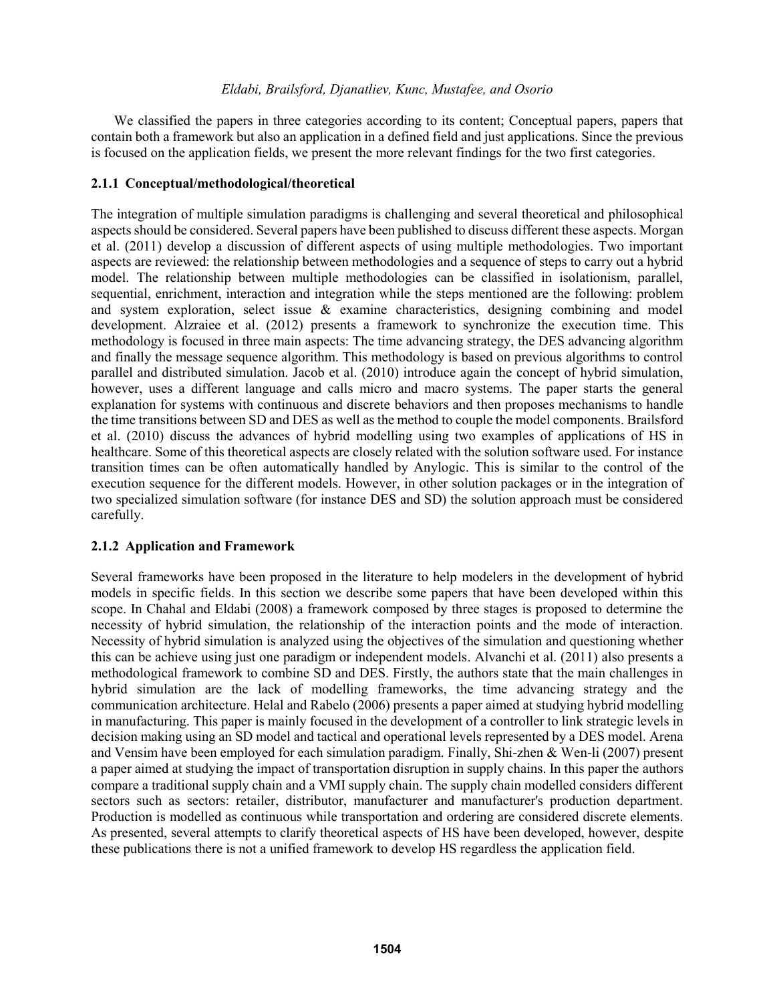We classified the papers in three categories according to its content; Conceptual papers, papers that contain both a framework but also an application in a defined field and just applications. Since the previous is focused on the application fields, we present the more relevant findings for the two first categories.

### **2.1.1 Conceptual/methodological/theoretical**

The integration of multiple simulation paradigms is challenging and several theoretical and philosophical aspects should be considered. Several papers have been published to discuss different these aspects. Morgan et al. (2011) develop a discussion of different aspects of using multiple methodologies. Two important aspects are reviewed: the relationship between methodologies and a sequence of steps to carry out a hybrid model. The relationship between multiple methodologies can be classified in isolationism, parallel, sequential, enrichment, interaction and integration while the steps mentioned are the following: problem and system exploration, select issue & examine characteristics, designing combining and model development. Alzraiee et al. (2012) presents a framework to synchronize the execution time. This methodology is focused in three main aspects: The time advancing strategy, the DES advancing algorithm and finally the message sequence algorithm. This methodology is based on previous algorithms to control parallel and distributed simulation. Jacob et al. (2010) introduce again the concept of hybrid simulation, however, uses a different language and calls micro and macro systems. The paper starts the general explanation for systems with continuous and discrete behaviors and then proposes mechanisms to handle the time transitions between SD and DES as well as the method to couple the model components. Brailsford et al. (2010) discuss the advances of hybrid modelling using two examples of applications of HS in healthcare. Some of this theoretical aspects are closely related with the solution software used. For instance transition times can be often automatically handled by Anylogic. This is similar to the control of the execution sequence for the different models. However, in other solution packages or in the integration of two specialized simulation software (for instance DES and SD) the solution approach must be considered carefully.

## **2.1.2 Application and Framework**

Several frameworks have been proposed in the literature to help modelers in the development of hybrid models in specific fields. In this section we describe some papers that have been developed within this scope. In Chahal and Eldabi (2008) a framework composed by three stages is proposed to determine the necessity of hybrid simulation, the relationship of the interaction points and the mode of interaction. Necessity of hybrid simulation is analyzed using the objectives of the simulation and questioning whether this can be achieve using just one paradigm or independent models. Alvanchi et al. (2011) also presents a methodological framework to combine SD and DES. Firstly, the authors state that the main challenges in hybrid simulation are the lack of modelling frameworks, the time advancing strategy and the communication architecture. Helal and Rabelo (2006) presents a paper aimed at studying hybrid modelling in manufacturing. This paper is mainly focused in the development of a controller to link strategic levels in decision making using an SD model and tactical and operational levels represented by a DES model. Arena and Vensim have been employed for each simulation paradigm. Finally, Shi-zhen & Wen-li (2007) present a paper aimed at studying the impact of transportation disruption in supply chains. In this paper the authors compare a traditional supply chain and a VMI supply chain. The supply chain modelled considers different sectors such as sectors: retailer, distributor, manufacturer and manufacturer's production department. Production is modelled as continuous while transportation and ordering are considered discrete elements. As presented, several attempts to clarify theoretical aspects of HS have been developed, however, despite these publications there is not a unified framework to develop HS regardless the application field.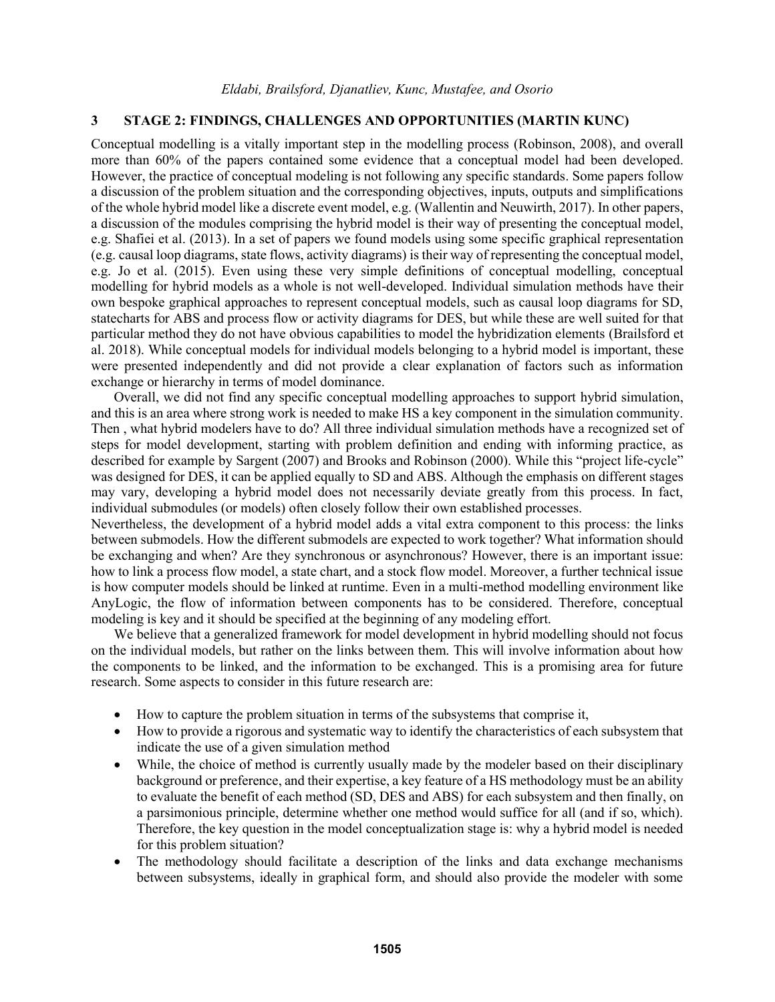# **3 STAGE 2: FINDINGS, CHALLENGES AND OPPORTUNITIES (MARTIN KUNC)**

Conceptual modelling is a vitally important step in the modelling process (Robinson, 2008), and overall more than 60% of the papers contained some evidence that a conceptual model had been developed. However, the practice of conceptual modeling is not following any specific standards. Some papers follow a discussion of the problem situation and the corresponding objectives, inputs, outputs and simplifications of the whole hybrid model like a discrete event model, e.g. (Wallentin and Neuwirth, 2017). In other papers, a discussion of the modules comprising the hybrid model is their way of presenting the conceptual model, e.g. Shafiei et al. (2013). In a set of papers we found models using some specific graphical representation (e.g. causal loop diagrams, state flows, activity diagrams) is their way of representing the conceptual model, e.g. Jo et al. (2015). Even using these very simple definitions of conceptual modelling, conceptual modelling for hybrid models as a whole is not well-developed. Individual simulation methods have their own bespoke graphical approaches to represent conceptual models, such as causal loop diagrams for SD, statecharts for ABS and process flow or activity diagrams for DES, but while these are well suited for that particular method they do not have obvious capabilities to model the hybridization elements (Brailsford et al. 2018). While conceptual models for individual models belonging to a hybrid model is important, these were presented independently and did not provide a clear explanation of factors such as information exchange or hierarchy in terms of model dominance.

Overall, we did not find any specific conceptual modelling approaches to support hybrid simulation, and this is an area where strong work is needed to make HS a key component in the simulation community. Then , what hybrid modelers have to do? All three individual simulation methods have a recognized set of steps for model development, starting with problem definition and ending with informing practice, as described for example by Sargent (2007) and Brooks and Robinson (2000). While this "project life-cycle" was designed for DES, it can be applied equally to SD and ABS. Although the emphasis on different stages may vary, developing a hybrid model does not necessarily deviate greatly from this process. In fact, individual submodules (or models) often closely follow their own established processes.

Nevertheless, the development of a hybrid model adds a vital extra component to this process: the links between submodels. How the different submodels are expected to work together? What information should be exchanging and when? Are they synchronous or asynchronous? However, there is an important issue: how to link a process flow model, a state chart, and a stock flow model. Moreover, a further technical issue is how computer models should be linked at runtime. Even in a multi-method modelling environment like AnyLogic, the flow of information between components has to be considered. Therefore, conceptual modeling is key and it should be specified at the beginning of any modeling effort.

We believe that a generalized framework for model development in hybrid modelling should not focus on the individual models, but rather on the links between them. This will involve information about how the components to be linked, and the information to be exchanged. This is a promising area for future research. Some aspects to consider in this future research are:

- How to capture the problem situation in terms of the subsystems that comprise it,
- How to provide a rigorous and systematic way to identify the characteristics of each subsystem that indicate the use of a given simulation method
- While, the choice of method is currently usually made by the modeler based on their disciplinary background or preference, and their expertise, a key feature of a HS methodology must be an ability to evaluate the benefit of each method (SD, DES and ABS) for each subsystem and then finally, on a parsimonious principle, determine whether one method would suffice for all (and if so, which). Therefore, the key question in the model conceptualization stage is: why a hybrid model is needed for this problem situation?
- The methodology should facilitate a description of the links and data exchange mechanisms between subsystems, ideally in graphical form, and should also provide the modeler with some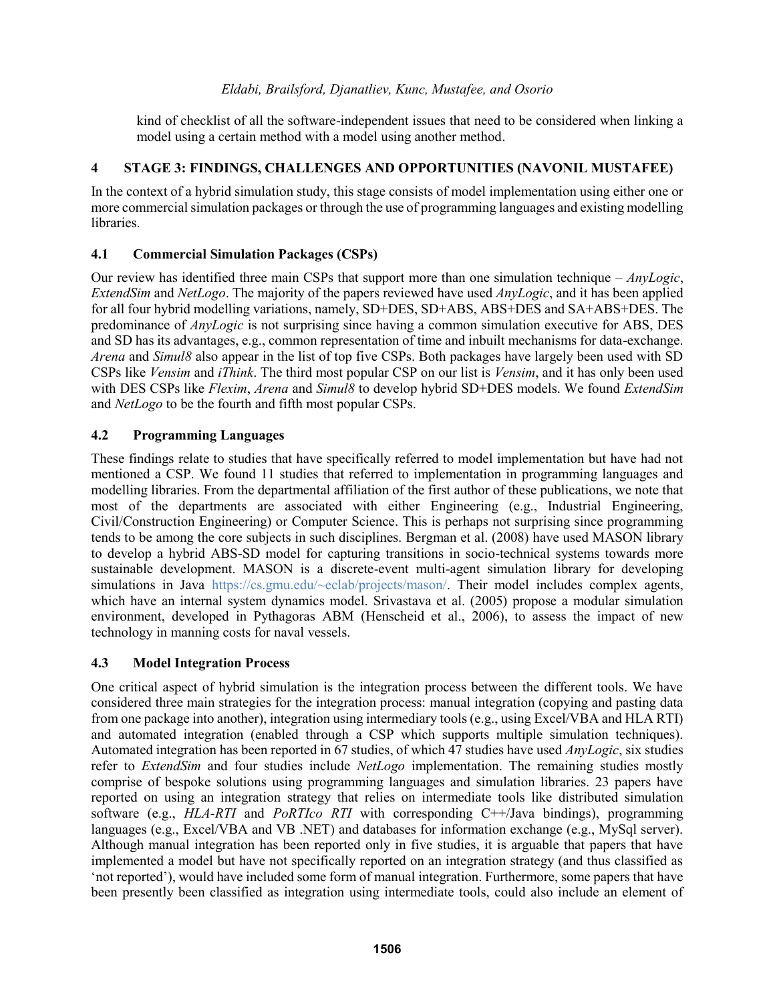kind of checklist of all the software-independent issues that need to be considered when linking a model using a certain method with a model using another method.

## **4 STAGE 3: FINDINGS, CHALLENGES AND OPPORTUNITIES (NAVONIL MUSTAFEE)**

In the context of a hybrid simulation study, this stage consists of model implementation using either one or more commercial simulation packages or through the use of programming languages and existing modelling libraries.

## **4.1 Commercial Simulation Packages (CSPs)**

Our review has identified three main CSPs that support more than one simulation technique – *AnyLogic*, *ExtendSim* and *NetLogo*. The majority of the papers reviewed have used *AnyLogic*, and it has been applied for all four hybrid modelling variations, namely, SD+DES, SD+ABS, ABS+DES and SA+ABS+DES. The predominance of *AnyLogic* is not surprising since having a common simulation executive for ABS, DES and SD has its advantages, e.g., common representation of time and inbuilt mechanisms for data-exchange. *Arena* and *Simul8* also appear in the list of top five CSPs. Both packages have largely been used with SD CSPs like *Vensim* and *iThink*. The third most popular CSP on our list is *Vensim*, and it has only been used with DES CSPs like *Flexim*, *Arena* and *Simul8* to develop hybrid SD+DES models. We found *ExtendSim* and *NetLogo* to be the fourth and fifth most popular CSPs.

## **4.2 Programming Languages**

These findings relate to studies that have specifically referred to model implementation but have had not mentioned a CSP. We found 11 studies that referred to implementation in programming languages and modelling libraries. From the departmental affiliation of the first author of these publications, we note that most of the departments are associated with either Engineering (e.g., Industrial Engineering, Civil/Construction Engineering) or Computer Science. This is perhaps not surprising since programming tends to be among the core subjects in such disciplines. Bergman et al. (2008) have used MASON library to develop a hybrid ABS-SD model for capturing transitions in socio-technical systems towards more sustainable development. MASON is a discrete-event multi-agent simulation library for developing simulations in Java https://cs.gmu.edu/~eclab/projects/mason/. Their model includes complex agents, which have an internal system dynamics model. Srivastava et al. (2005) propose a modular simulation environment, developed in Pythagoras ABM (Henscheid et al., 2006), to assess the impact of new technology in manning costs for naval vessels.

# **4.3 Model Integration Process**

One critical aspect of hybrid simulation is the integration process between the different tools. We have considered three main strategies for the integration process: manual integration (copying and pasting data from one package into another), integration using intermediary tools (e.g., using Excel/VBA and HLA RTI) and automated integration (enabled through a CSP which supports multiple simulation techniques). Automated integration has been reported in 67 studies, of which 47 studies have used *AnyLogic*, six studies refer to *ExtendSim* and four studies include *NetLogo* implementation. The remaining studies mostly comprise of bespoke solutions using programming languages and simulation libraries. 23 papers have reported on using an integration strategy that relies on intermediate tools like distributed simulation software (e.g., *HLA-RTI* and *PoRTIco RTI* with corresponding C++/Java bindings), programming languages (e.g., Excel/VBA and VB .NET) and databases for information exchange (e.g., MySql server). Although manual integration has been reported only in five studies, it is arguable that papers that have implemented a model but have not specifically reported on an integration strategy (and thus classified as 'not reported'), would have included some form of manual integration. Furthermore, some papers that have been presently been classified as integration using intermediate tools, could also include an element of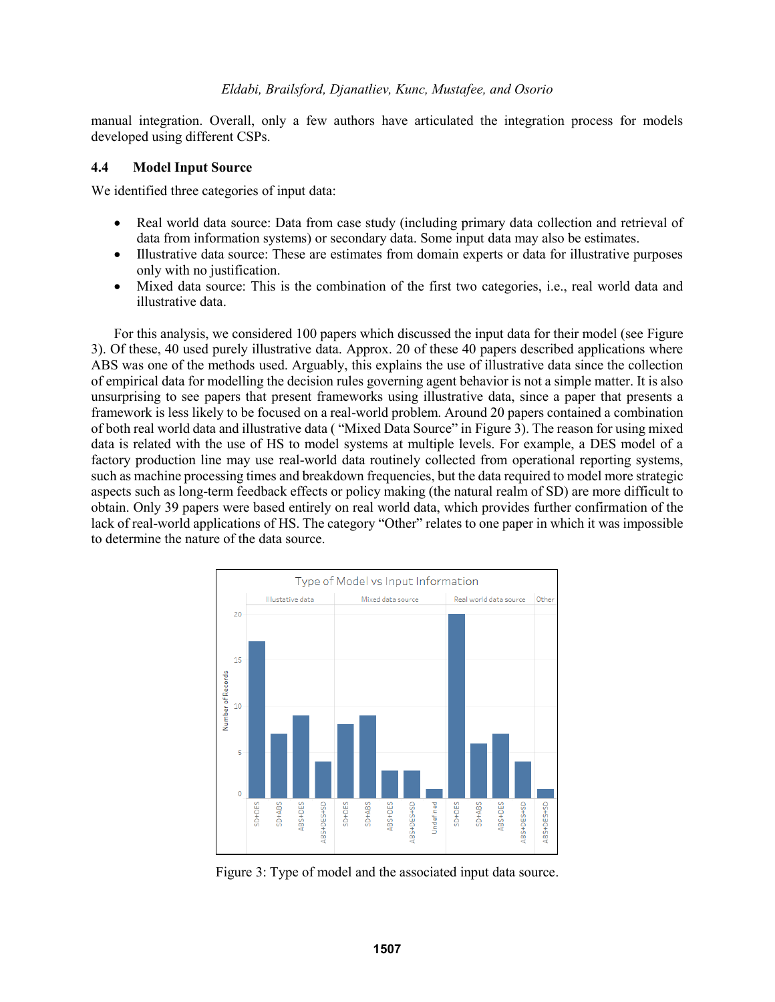manual integration. Overall, only a few authors have articulated the integration process for models developed using different CSPs.

### **4.4 Model Input Source**

We identified three categories of input data:

- Real world data source: Data from case study (including primary data collection and retrieval of data from information systems) or secondary data. Some input data may also be estimates.
- Illustrative data source: These are estimates from domain experts or data for illustrative purposes only with no justification.
- Mixed data source: This is the combination of the first two categories, i.e., real world data and illustrative data.

For this analysis, we considered 100 papers which discussed the input data for their model (see Figure 3). Of these, 40 used purely illustrative data. Approx. 20 of these 40 papers described applications where ABS was one of the methods used. Arguably, this explains the use of illustrative data since the collection of empirical data for modelling the decision rules governing agent behavior is not a simple matter. It is also unsurprising to see papers that present frameworks using illustrative data, since a paper that presents a framework is less likely to be focused on a real-world problem. Around 20 papers contained a combination of both real world data and illustrative data ( "Mixed Data Source" in Figure 3). The reason for using mixed data is related with the use of HS to model systems at multiple levels. For example, a DES model of a factory production line may use real-world data routinely collected from operational reporting systems, such as machine processing times and breakdown frequencies, but the data required to model more strategic aspects such as long-term feedback effects or policy making (the natural realm of SD) are more difficult to obtain. Only 39 papers were based entirely on real world data, which provides further confirmation of the lack of real-world applications of HS. The category "Other" relates to one paper in which it was impossible to determine the nature of the data source.



Figure 3: Type of model and the associated input data source.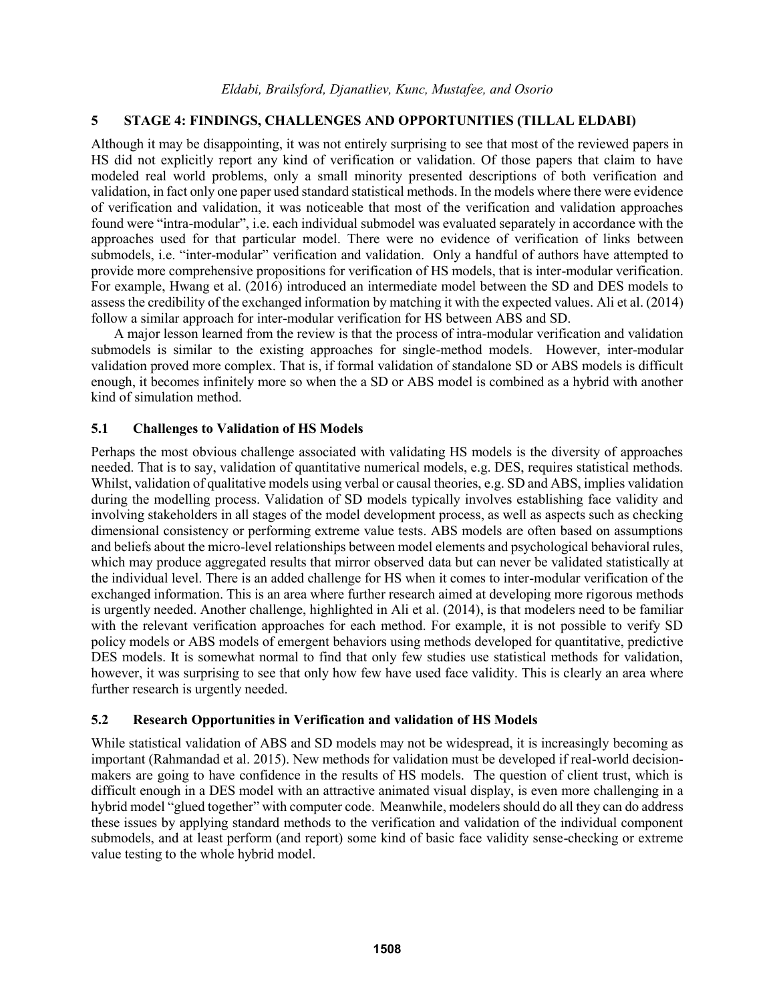## **5 STAGE 4: FINDINGS, CHALLENGES AND OPPORTUNITIES (TILLAL ELDABI)**

Although it may be disappointing, it was not entirely surprising to see that most of the reviewed papers in HS did not explicitly report any kind of verification or validation. Of those papers that claim to have modeled real world problems, only a small minority presented descriptions of both verification and validation, in fact only one paper used standard statistical methods. In the models where there were evidence of verification and validation, it was noticeable that most of the verification and validation approaches found were "intra-modular", i.e. each individual submodel was evaluated separately in accordance with the approaches used for that particular model. There were no evidence of verification of links between submodels, i.e. "inter-modular" verification and validation. Only a handful of authors have attempted to provide more comprehensive propositions for verification of HS models, that is inter-modular verification. For example, Hwang et al. (2016) introduced an intermediate model between the SD and DES models to assess the credibility of the exchanged information by matching it with the expected values. Ali et al. (2014) follow a similar approach for inter-modular verification for HS between ABS and SD.

A major lesson learned from the review is that the process of intra-modular verification and validation submodels is similar to the existing approaches for single-method models. However, inter-modular validation proved more complex. That is, if formal validation of standalone SD or ABS models is difficult enough, it becomes infinitely more so when the a SD or ABS model is combined as a hybrid with another kind of simulation method.

#### **5.1 Challenges to Validation of HS Models**

Perhaps the most obvious challenge associated with validating HS models is the diversity of approaches needed. That is to say, validation of quantitative numerical models, e.g. DES, requires statistical methods. Whilst, validation of qualitative models using verbal or causal theories, e.g. SD and ABS, implies validation during the modelling process. Validation of SD models typically involves establishing face validity and involving stakeholders in all stages of the model development process, as well as aspects such as checking dimensional consistency or performing extreme value tests. ABS models are often based on assumptions and beliefs about the micro-level relationships between model elements and psychological behavioral rules, which may produce aggregated results that mirror observed data but can never be validated statistically at the individual level. There is an added challenge for HS when it comes to inter-modular verification of the exchanged information. This is an area where further research aimed at developing more rigorous methods is urgently needed. Another challenge, highlighted in Ali et al. (2014), is that modelers need to be familiar with the relevant verification approaches for each method. For example, it is not possible to verify SD policy models or ABS models of emergent behaviors using methods developed for quantitative, predictive DES models. It is somewhat normal to find that only few studies use statistical methods for validation, however, it was surprising to see that only how few have used face validity. This is clearly an area where further research is urgently needed.

## **5.2 Research Opportunities in Verification and validation of HS Models**

While statistical validation of ABS and SD models may not be widespread, it is increasingly becoming as important (Rahmandad et al. 2015). New methods for validation must be developed if real-world decisionmakers are going to have confidence in the results of HS models. The question of client trust, which is difficult enough in a DES model with an attractive animated visual display, is even more challenging in a hybrid model "glued together" with computer code. Meanwhile, modelers should do all they can do address these issues by applying standard methods to the verification and validation of the individual component submodels, and at least perform (and report) some kind of basic face validity sense-checking or extreme value testing to the whole hybrid model.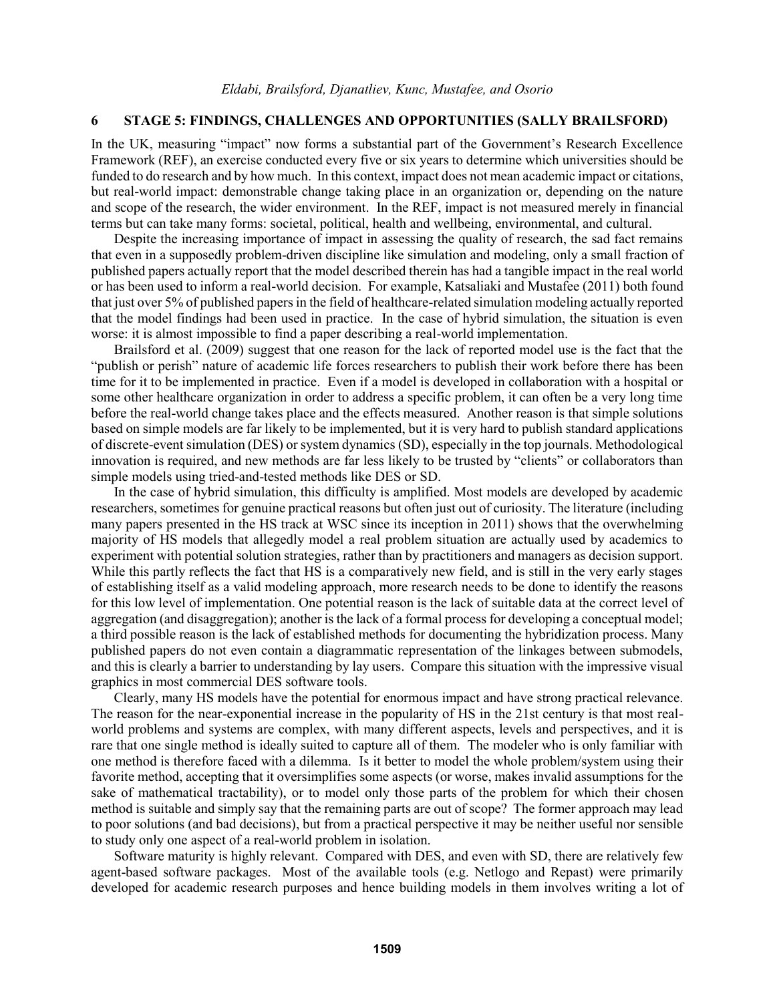## **6 STAGE 5: FINDINGS, CHALLENGES AND OPPORTUNITIES (SALLY BRAILSFORD)**

In the UK, measuring "impact" now forms a substantial part of the Government's Research Excellence Framework (REF), an exercise conducted every five or six years to determine which universities should be funded to do research and by how much. In this context, impact does not mean academic impact or citations, but real-world impact: demonstrable change taking place in an organization or, depending on the nature and scope of the research, the wider environment. In the REF, impact is not measured merely in financial terms but can take many forms: societal, political, health and wellbeing, environmental, and cultural.

Despite the increasing importance of impact in assessing the quality of research, the sad fact remains that even in a supposedly problem-driven discipline like simulation and modeling, only a small fraction of published papers actually report that the model described therein has had a tangible impact in the real world or has been used to inform a real-world decision. For example, Katsaliaki and Mustafee (2011) both found that just over 5% of published papers in the field of healthcare-related simulation modeling actually reported that the model findings had been used in practice. In the case of hybrid simulation, the situation is even worse: it is almost impossible to find a paper describing a real-world implementation.

Brailsford et al. (2009) suggest that one reason for the lack of reported model use is the fact that the "publish or perish" nature of academic life forces researchers to publish their work before there has been time for it to be implemented in practice. Even if a model is developed in collaboration with a hospital or some other healthcare organization in order to address a specific problem, it can often be a very long time before the real-world change takes place and the effects measured. Another reason is that simple solutions based on simple models are far likely to be implemented, but it is very hard to publish standard applications of discrete-event simulation (DES) or system dynamics (SD), especially in the top journals. Methodological innovation is required, and new methods are far less likely to be trusted by "clients" or collaborators than simple models using tried-and-tested methods like DES or SD.

In the case of hybrid simulation, this difficulty is amplified. Most models are developed by academic researchers, sometimes for genuine practical reasons but often just out of curiosity. The literature (including many papers presented in the HS track at WSC since its inception in 2011) shows that the overwhelming majority of HS models that allegedly model a real problem situation are actually used by academics to experiment with potential solution strategies, rather than by practitioners and managers as decision support. While this partly reflects the fact that HS is a comparatively new field, and is still in the very early stages of establishing itself as a valid modeling approach, more research needs to be done to identify the reasons for this low level of implementation. One potential reason is the lack of suitable data at the correct level of aggregation (and disaggregation); another is the lack of a formal process for developing a conceptual model; a third possible reason is the lack of established methods for documenting the hybridization process. Many published papers do not even contain a diagrammatic representation of the linkages between submodels, and this is clearly a barrier to understanding by lay users. Compare this situation with the impressive visual graphics in most commercial DES software tools.

Clearly, many HS models have the potential for enormous impact and have strong practical relevance. The reason for the near-exponential increase in the popularity of HS in the 21st century is that most realworld problems and systems are complex, with many different aspects, levels and perspectives, and it is rare that one single method is ideally suited to capture all of them. The modeler who is only familiar with one method is therefore faced with a dilemma. Is it better to model the whole problem/system using their favorite method, accepting that it oversimplifies some aspects (or worse, makes invalid assumptions for the sake of mathematical tractability), or to model only those parts of the problem for which their chosen method is suitable and simply say that the remaining parts are out of scope? The former approach may lead to poor solutions (and bad decisions), but from a practical perspective it may be neither useful nor sensible to study only one aspect of a real-world problem in isolation.

Software maturity is highly relevant. Compared with DES, and even with SD, there are relatively few agent-based software packages. Most of the available tools (e.g. Netlogo and Repast) were primarily developed for academic research purposes and hence building models in them involves writing a lot of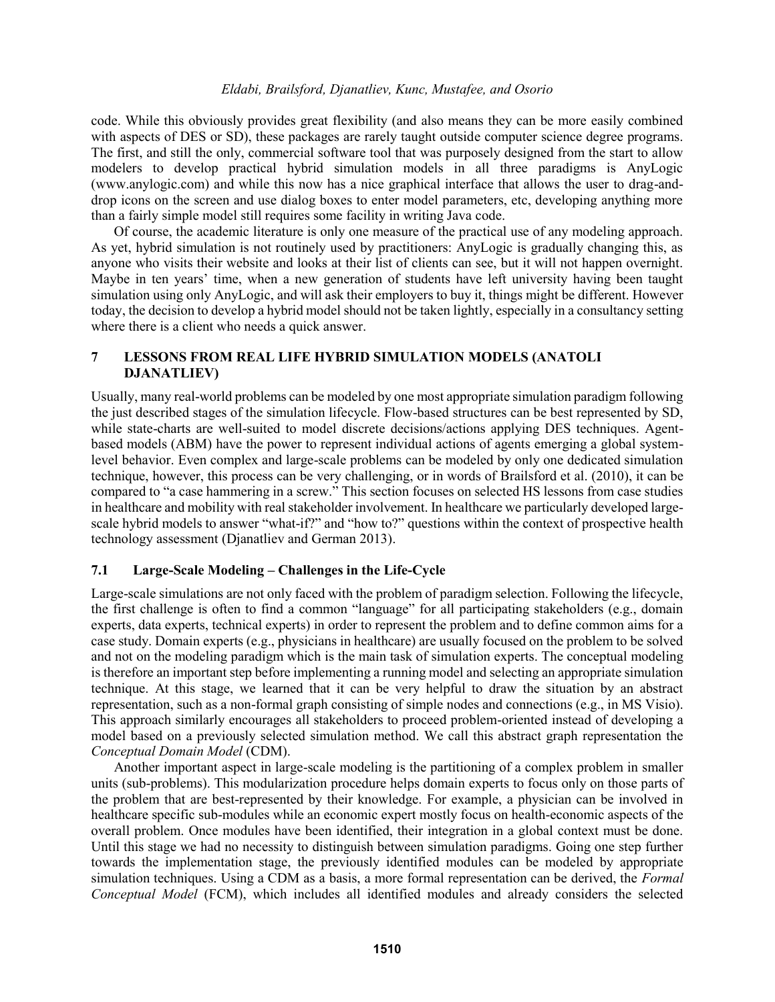code. While this obviously provides great flexibility (and also means they can be more easily combined with aspects of DES or SD), these packages are rarely taught outside computer science degree programs. The first, and still the only, commercial software tool that was purposely designed from the start to allow modelers to develop practical hybrid simulation models in all three paradigms is AnyLogic (www.anylogic.com) and while this now has a nice graphical interface that allows the user to drag-anddrop icons on the screen and use dialog boxes to enter model parameters, etc, developing anything more than a fairly simple model still requires some facility in writing Java code.

Of course, the academic literature is only one measure of the practical use of any modeling approach. As yet, hybrid simulation is not routinely used by practitioners: AnyLogic is gradually changing this, as anyone who visits their website and looks at their list of clients can see, but it will not happen overnight. Maybe in ten years' time, when a new generation of students have left university having been taught simulation using only AnyLogic, and will ask their employers to buy it, things might be different. However today, the decision to develop a hybrid model should not be taken lightly, especially in a consultancy setting where there is a client who needs a quick answer.

## **7 LESSONS FROM REAL LIFE HYBRID SIMULATION MODELS (ANATOLI DJANATLIEV)**

Usually, many real-world problems can be modeled by one most appropriate simulation paradigm following the just described stages of the simulation lifecycle. Flow-based structures can be best represented by SD, while state-charts are well-suited to model discrete decisions/actions applying DES techniques. Agentbased models (ABM) have the power to represent individual actions of agents emerging a global systemlevel behavior. Even complex and large-scale problems can be modeled by only one dedicated simulation technique, however, this process can be very challenging, or in words of Brailsford et al. (2010), it can be compared to "a case hammering in a screw." This section focuses on selected HS lessons from case studies in healthcare and mobility with real stakeholder involvement. In healthcare we particularly developed largescale hybrid models to answer "what-if?" and "how to?" questions within the context of prospective health technology assessment (Djanatliev and German 2013).

## **7.1 Large-Scale Modeling – Challenges in the Life-Cycle**

Large-scale simulations are not only faced with the problem of paradigm selection. Following the lifecycle, the first challenge is often to find a common "language" for all participating stakeholders (e.g., domain experts, data experts, technical experts) in order to represent the problem and to define common aims for a case study. Domain experts (e.g., physicians in healthcare) are usually focused on the problem to be solved and not on the modeling paradigm which is the main task of simulation experts. The conceptual modeling is therefore an important step before implementing a running model and selecting an appropriate simulation technique. At this stage, we learned that it can be very helpful to draw the situation by an abstract representation, such as a non-formal graph consisting of simple nodes and connections (e.g., in MS Visio). This approach similarly encourages all stakeholders to proceed problem-oriented instead of developing a model based on a previously selected simulation method. We call this abstract graph representation the *Conceptual Domain Model* (CDM).

Another important aspect in large-scale modeling is the partitioning of a complex problem in smaller units (sub-problems). This modularization procedure helps domain experts to focus only on those parts of the problem that are best-represented by their knowledge. For example, a physician can be involved in healthcare specific sub-modules while an economic expert mostly focus on health-economic aspects of the overall problem. Once modules have been identified, their integration in a global context must be done. Until this stage we had no necessity to distinguish between simulation paradigms. Going one step further towards the implementation stage, the previously identified modules can be modeled by appropriate simulation techniques. Using a CDM as a basis, a more formal representation can be derived, the *Formal Conceptual Model* (FCM), which includes all identified modules and already considers the selected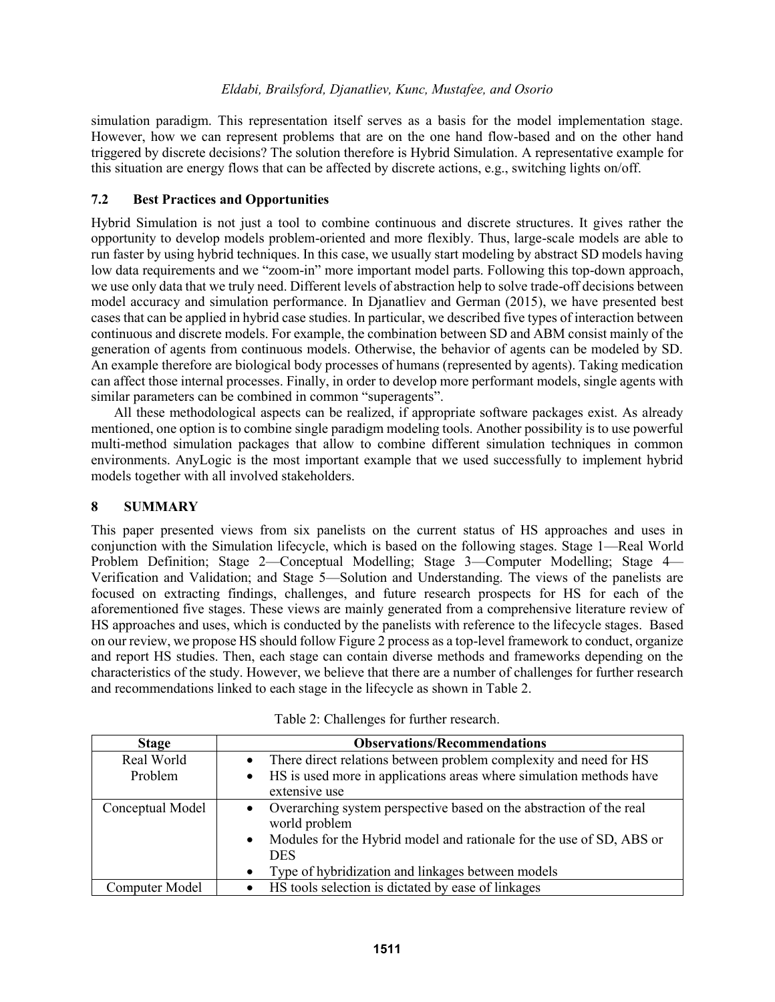simulation paradigm. This representation itself serves as a basis for the model implementation stage. However, how we can represent problems that are on the one hand flow-based and on the other hand triggered by discrete decisions? The solution therefore is Hybrid Simulation. A representative example for this situation are energy flows that can be affected by discrete actions, e.g., switching lights on/off.

### **7.2 Best Practices and Opportunities**

Hybrid Simulation is not just a tool to combine continuous and discrete structures. It gives rather the opportunity to develop models problem-oriented and more flexibly. Thus, large-scale models are able to run faster by using hybrid techniques. In this case, we usually start modeling by abstract SD models having low data requirements and we "zoom-in" more important model parts. Following this top-down approach, we use only data that we truly need. Different levels of abstraction help to solve trade-off decisions between model accuracy and simulation performance. In Djanatliev and German (2015), we have presented best cases that can be applied in hybrid case studies. In particular, we described five types of interaction between continuous and discrete models. For example, the combination between SD and ABM consist mainly of the generation of agents from continuous models. Otherwise, the behavior of agents can be modeled by SD. An example therefore are biological body processes of humans (represented by agents). Taking medication can affect those internal processes. Finally, in order to develop more performant models, single agents with similar parameters can be combined in common "superagents".

All these methodological aspects can be realized, if appropriate software packages exist. As already mentioned, one option is to combine single paradigm modeling tools. Another possibility is to use powerful multi-method simulation packages that allow to combine different simulation techniques in common environments. AnyLogic is the most important example that we used successfully to implement hybrid models together with all involved stakeholders.

#### **8 SUMMARY**

This paper presented views from six panelists on the current status of HS approaches and uses in conjunction with the Simulation lifecycle, which is based on the following stages. Stage 1—Real World Problem Definition; Stage 2—Conceptual Modelling; Stage 3—Computer Modelling; Stage 4— Verification and Validation; and Stage 5—Solution and Understanding. The views of the panelists are focused on extracting findings, challenges, and future research prospects for HS for each of the aforementioned five stages. These views are mainly generated from a comprehensive literature review of HS approaches and uses, which is conducted by the panelists with reference to the lifecycle stages. Based on our review, we propose HS should follow Figure 2 process as a top-level framework to conduct, organize and report HS studies. Then, each stage can contain diverse methods and frameworks depending on the characteristics of the study. However, we believe that there are a number of challenges for further research and recommendations linked to each stage in the lifecycle as shown in Table 2.

| <b>Stage</b>     | <b>Observations/Recommendations</b>                                                               |
|------------------|---------------------------------------------------------------------------------------------------|
| Real World       | There direct relations between problem complexity and need for HS                                 |
| Problem          | HS is used more in applications areas where simulation methods have<br>$\bullet$<br>extensive use |
| Conceptual Model | Overarching system perspective based on the abstraction of the real<br>world problem              |
|                  | Modules for the Hybrid model and rationale for the use of SD, ABS or<br>$\bullet$<br><b>DES</b>   |
|                  | Type of hybridization and linkages between models<br>$\bullet$                                    |
| Computer Model   | HS tools selection is dictated by ease of linkages                                                |

| Table 2: Challenges for further research. |  |
|-------------------------------------------|--|
|-------------------------------------------|--|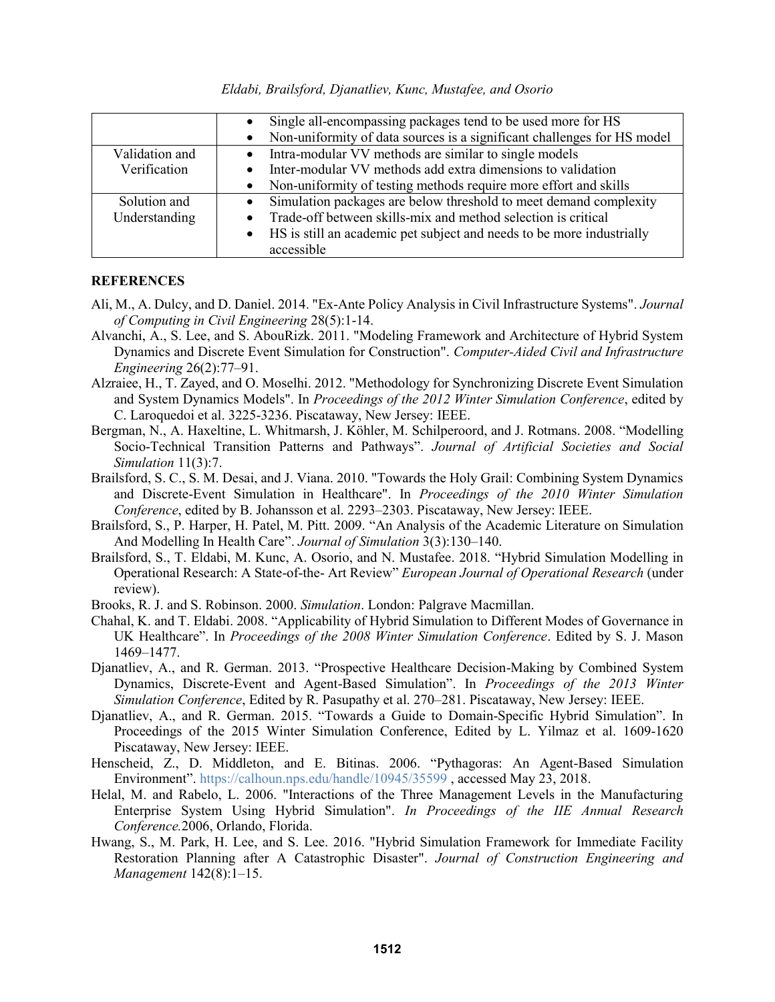*Eldabi, Brailsford, Djanatliev, Kunc, Mustafee, and Osorio*

|                | Single all-encompassing packages tend to be used more for HS<br>Non-uniformity of data sources is a significant challenges for HS model |
|----------------|-----------------------------------------------------------------------------------------------------------------------------------------|
| Validation and | Intra-modular VV methods are similar to single models                                                                                   |
| Verification   | Inter-modular VV methods add extra dimensions to validation                                                                             |
|                | Non-uniformity of testing methods require more effort and skills                                                                        |
| Solution and   | Simulation packages are below threshold to meet demand complexity                                                                       |
| Understanding  | Trade-off between skills-mix and method selection is critical                                                                           |
|                | HS is still an academic pet subject and needs to be more industrially<br>$\bullet$                                                      |
|                | accessible                                                                                                                              |

#### **REFERENCES**

- Ali, M., A. Dulcy, and D. Daniel. 2014. "Ex-Ante Policy Analysis in Civil Infrastructure Systems". *Journal of Computing in Civil Engineering* 28(5):1-14.
- Alvanchi, A., S. Lee, and S. AbouRizk. 2011. "Modeling Framework and Architecture of Hybrid System Dynamics and Discrete Event Simulation for Construction". *Computer-Aided Civil and Infrastructure Engineering* 26(2):77–91.
- Alzraiee, H., T. Zayed, and O. Moselhi. 2012. "Methodology for Synchronizing Discrete Event Simulation and System Dynamics Models". In *Proceedings of the 2012 Winter Simulation Conference*, edited by C. Laroquedoi et al. 3225-3236. Piscataway, New Jersey: IEEE.
- Bergman, N., A. Haxeltine, L. Whitmarsh, J. Köhler, M. Schilperoord, and J. Rotmans. 2008. "Modelling Socio-Technical Transition Patterns and Pathways". *Journal of Artificial Societies and Social Simulation* 11(3):7.
- Brailsford, S. C., S. M. Desai, and J. Viana. 2010. "Towards the Holy Grail: Combining System Dynamics and Discrete-Event Simulation in Healthcare". In *Proceedings of the 2010 Winter Simulation Conference*, edited by B. Johansson et al. 2293–2303. Piscataway, New Jersey: IEEE.
- Brailsford, S., P. Harper, H. Patel, M. Pitt. 2009. "An Analysis of the Academic Literature on Simulation And Modelling In Health Care". *Journal of Simulation* 3(3):130–140.
- Brailsford, S., T. Eldabi, M. Kunc, A. Osorio, and N. Mustafee. 2018. "Hybrid Simulation Modelling in Operational Research: A State-of-the- Art Review" *European Journal of Operational Research* (under review).
- Brooks, R. J. and S. Robinson. 2000. *Simulation*. London: Palgrave Macmillan.
- Chahal, K. and T. Eldabi. 2008. "Applicability of Hybrid Simulation to Different Modes of Governance in UK Healthcare". In *Proceedings of the 2008 Winter Simulation Conference*. Edited by S. J. Mason 1469–1477.
- Djanatliev, A., and R. German. 2013. "Prospective Healthcare Decision-Making by Combined System Dynamics, Discrete-Event and Agent-Based Simulation". In *Proceedings of the 2013 Winter Simulation Conference*, Edited by R. Pasupathy et al. 270–281. Piscataway, New Jersey: IEEE.
- Djanatliev, A., and R. German. 2015. "Towards a Guide to Domain-Specific Hybrid Simulation". In Proceedings of the 2015 Winter Simulation Conference, Edited by L. Yilmaz et al. 1609-1620 Piscataway, New Jersey: IEEE.
- Henscheid, Z., D. Middleton, and E. Bitinas. 2006. "Pythagoras: An Agent-Based Simulation Environment". https://calhoun.nps.edu/handle/10945/35599 , accessed May 23, 2018.
- Helal, M. and Rabelo, L. 2006. "Interactions of the Three Management Levels in the Manufacturing Enterprise System Using Hybrid Simulation". *In Proceedings of the IIE Annual Research Conference.*2006, Orlando, Florida.
- Hwang, S., M. Park, H. Lee, and S. Lee. 2016. "Hybrid Simulation Framework for Immediate Facility Restoration Planning after A Catastrophic Disaster". *Journal of Construction Engineering and Management* 142(8):1–15.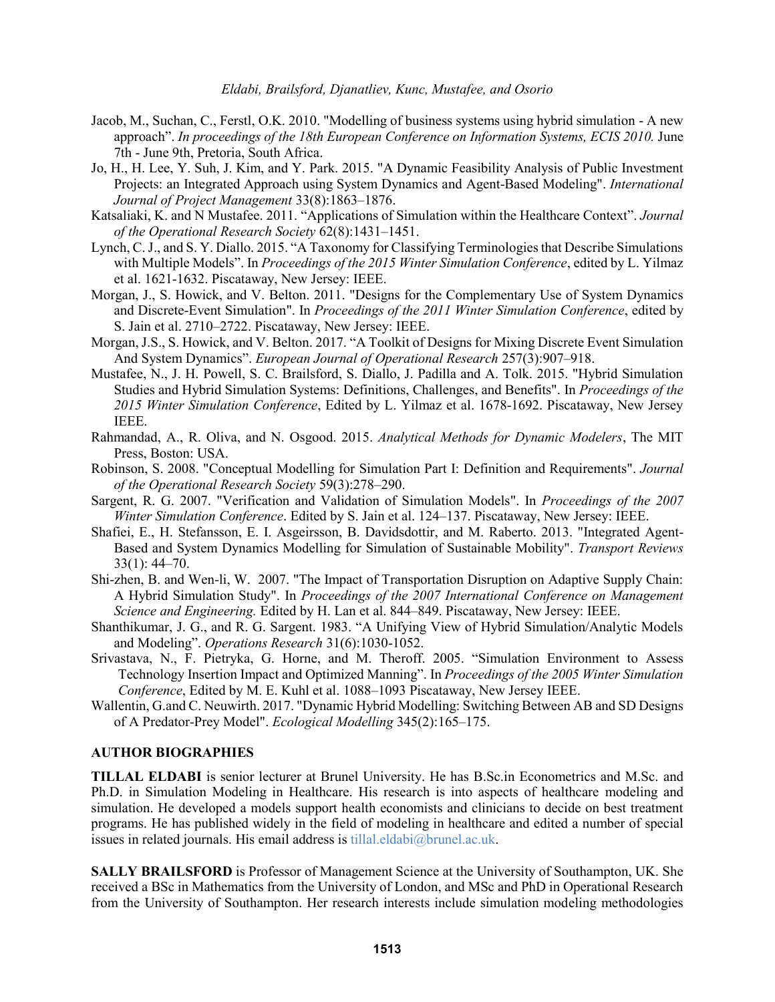- Jacob, M., Suchan, C., Ferstl, O.K. 2010. "Modelling of business systems using hybrid simulation A new approach". *In proceedings of the 18th European Conference on Information Systems, ECIS 2010.* June 7th - June 9th, Pretoria, South Africa.
- Jo, H., H. Lee, Y. Suh, J. Kim, and Y. Park. 2015. "A Dynamic Feasibility Analysis of Public Investment Projects: an Integrated Approach using System Dynamics and Agent-Based Modeling". *International Journal of Project Management* 33(8):1863–1876.
- Katsaliaki, K. and N Mustafee. 2011. "Applications of Simulation within the Healthcare Context". *Journal of the Operational Research Society* 62(8):1431–1451.
- Lynch, C. J., and S. Y. Diallo. 2015. "A Taxonomy for Classifying Terminologies that Describe Simulations with Multiple Models". In *Proceedings of the 2015 Winter Simulation Conference*, edited by L. Yilmaz et al. 1621-1632. Piscataway, New Jersey: IEEE.
- Morgan, J., S. Howick, and V. Belton. 2011. "Designs for the Complementary Use of System Dynamics and Discrete-Event Simulation". In *Proceedings of the 2011 Winter Simulation Conference*, edited by S. Jain et al. 2710–2722. Piscataway, New Jersey: IEEE.
- Morgan, J.S., S. Howick, and V. Belton. 2017. "A Toolkit of Designs for Mixing Discrete Event Simulation And System Dynamics". *European Journal of Operational Research* 257(3):907–918.
- Mustafee, N., J. H. Powell, S. C. Brailsford, S. Diallo, J. Padilla and A. Tolk. 2015. "Hybrid Simulation Studies and Hybrid Simulation Systems: Definitions, Challenges, and Benefits". In *Proceedings of the 2015 Winter Simulation Conference*, Edited by L. Yilmaz et al. 1678-1692. Piscataway, New Jersey IEEE.
- Rahmandad, A., R. Oliva, and N. Osgood. 2015. *Analytical Methods for Dynamic Modelers*, The MIT Press, Boston: USA.
- Robinson, S. 2008. "Conceptual Modelling for Simulation Part I: Definition and Requirements". *Journal of the Operational Research Society* 59(3):278–290.
- Sargent, R. G. 2007. "Verification and Validation of Simulation Models". In *Proceedings of the 2007 Winter Simulation Conference*. Edited by S. Jain et al. 124–137. Piscataway, New Jersey: IEEE.
- Shafiei, E., H. Stefansson, E. I. Asgeirsson, B. Davidsdottir, and M. Raberto. 2013. "Integrated Agent-Based and System Dynamics Modelling for Simulation of Sustainable Mobility". *Transport Reviews* 33(1): 44–70.
- Shi-zhen, B. and Wen-li, W. 2007. "The Impact of Transportation Disruption on Adaptive Supply Chain: A Hybrid Simulation Study". In *Proceedings of the 2007 International Conference on Management Science and Engineering.* Edited by H. Lan et al. 844–849. Piscataway, New Jersey: IEEE.
- Shanthikumar, J. G., and R. G. Sargent. 1983. "A Unifying View of Hybrid Simulation/Analytic Models and Modeling". *Operations Research* 31(6):1030-1052.
- Srivastava, N., F. Pietryka, G. Horne, and M. Theroff. 2005. "Simulation Environment to Assess Technology Insertion Impact and Optimized Manning". In *Proceedings of the 2005 Winter Simulation Conference*, Edited by M. E. Kuhl et al. 1088–1093 Piscataway, New Jersey IEEE.
- Wallentin, G.and C. Neuwirth. 2017. "Dynamic Hybrid Modelling: Switching Between AB and SD Designs of A Predator-Prey Model". *Ecological Modelling* 345(2):165–175.

#### **AUTHOR BIOGRAPHIES**

**TILLAL ELDABI** is senior lecturer at Brunel University. He has B.Sc.in Econometrics and M.Sc. and Ph.D. in Simulation Modeling in Healthcare. His research is into aspects of healthcare modeling and simulation. He developed a models support health economists and clinicians to decide on best treatment programs. He has published widely in the field of modeling in healthcare and edited a number of special issues in related journals. His email address is tillal.eldabi@brunel.ac.uk.

**SALLY BRAILSFORD** is Professor of Management Science at the University of Southampton, UK. She received a BSc in Mathematics from the University of London, and MSc and PhD in Operational Research from the University of Southampton. Her research interests include simulation modeling methodologies